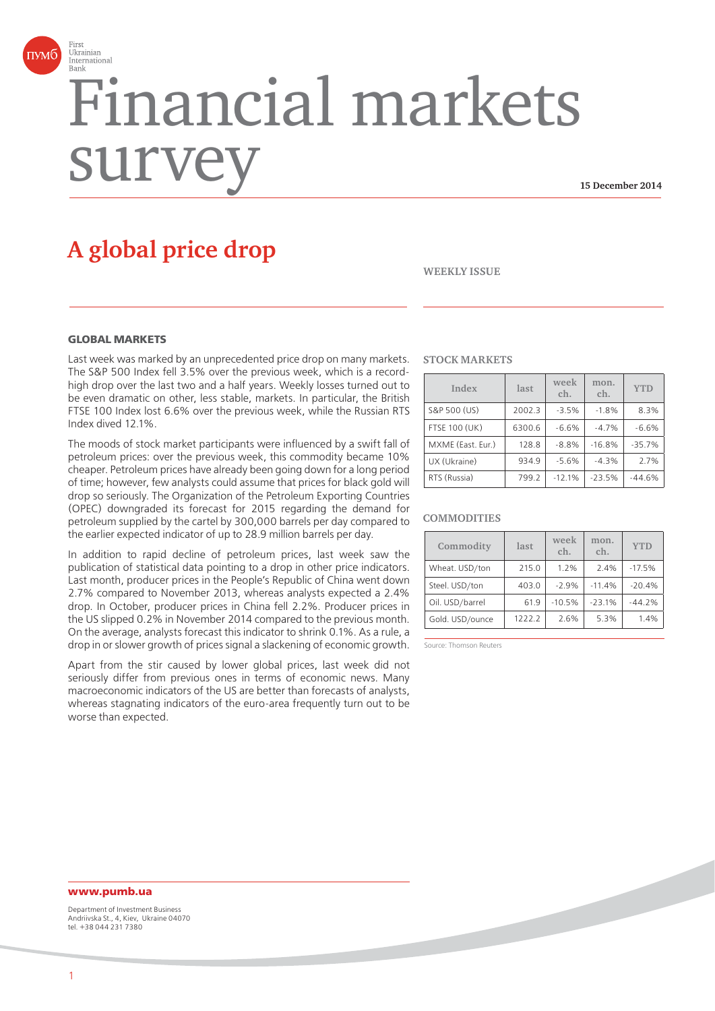

# Financial markets surv

**15 December 2014**

# **A global price drop**

**WEEKLY ISSUE**

## **GLOBAL MARKETS**

Last week was marked by an unprecedented price drop on many markets. The S&P 500 Index fell 3.5% over the previous week, which is a recordhigh drop over the last two and a half years. Weekly losses turned out to be even dramatic on other, less stable, markets. In particular, the British FTSE 100 Index lost 6.6% over the previous week, while the Russian RTS Index dived 12.1%.

The moods of stock market participants were influenced by a swift fall of petroleum prices: over the previous week, this commodity became 10% cheaper. Petroleum prices have already been going down for a long period of time; however, few analysts could assume that prices for black gold will drop so seriously. The Organization of the Petroleum Exporting Countries (OPEC) downgraded its forecast for 2015 regarding the demand for petroleum supplied by the cartel by 300,000 barrels per day compared to the earlier expected indicator of up to 28.9 million barrels per day.

In addition to rapid decline of petroleum prices, last week saw the publication of statistical data pointing to a drop in other price indicators. Last month, producer prices in the People's Republic of China went down 2.7% compared to November 2013, whereas analysts expected a 2.4% drop. In October, producer prices in China fell 2.2%. Producer prices in the US slipped 0.2% in November 2014 compared to the previous month. On the average, analysts forecast this indicator to shrink 0.1%. As a rule, a drop in or slower growth of prices signal a slackening of economic growth.

Apart from the stir caused by lower global prices, last week did not seriously differ from previous ones in terms of economic news. Many macroeconomic indicators of the US are better than forecasts of analysts, whereas stagnating indicators of the euro-area frequently turn out to be worse than expected.

#### **STOCK MARKETS**

| Index                | last   | week<br>ch. | mon.<br>ch. | <b>YTD</b> |
|----------------------|--------|-------------|-------------|------------|
| S&P 500 (US)         | 2002.3 | $-3.5%$     | $-1.8%$     | 8.3%       |
| <b>FTSE 100 (UK)</b> | 6300.6 | $-6.6%$     | $-4.7%$     | $-6.6%$    |
| MXME (East. Eur.)    | 128.8  | $-8.8%$     | $-16.8%$    | $-35.7%$   |
| UX (Ukraine)         | 934.9  | $-5.6%$     | $-4.3%$     | 2.7%       |
| RTS (Russia)         | 799.2  | $-12.1%$    | $-23.5%$    | $-44.6%$   |

#### **COMMODITIES**

| Commodity       | last   | week<br>ch. | mon.<br>ch. | <b>YTD</b> |
|-----------------|--------|-------------|-------------|------------|
| Wheat. USD/ton  | 215.0  | 1.2%        | 2.4%        | $-17.5%$   |
| Steel. USD/ton  | 403.0  | $-2.9%$     | $-11.4%$    | $-20.4%$   |
| Oil. USD/barrel | 61.9   | $-10.5%$    | $-23.1%$    | $-44.2%$   |
| Gold. USD/ounce | 1222.2 | 2.6%        | 5.3%        | 1.4%       |

Source: Thomson Reuters

# **www.pumb.ua**

Department of Investment Business Andriivska St., 4, Kiev, Ukraine 04070 tel. +38 044 231 7380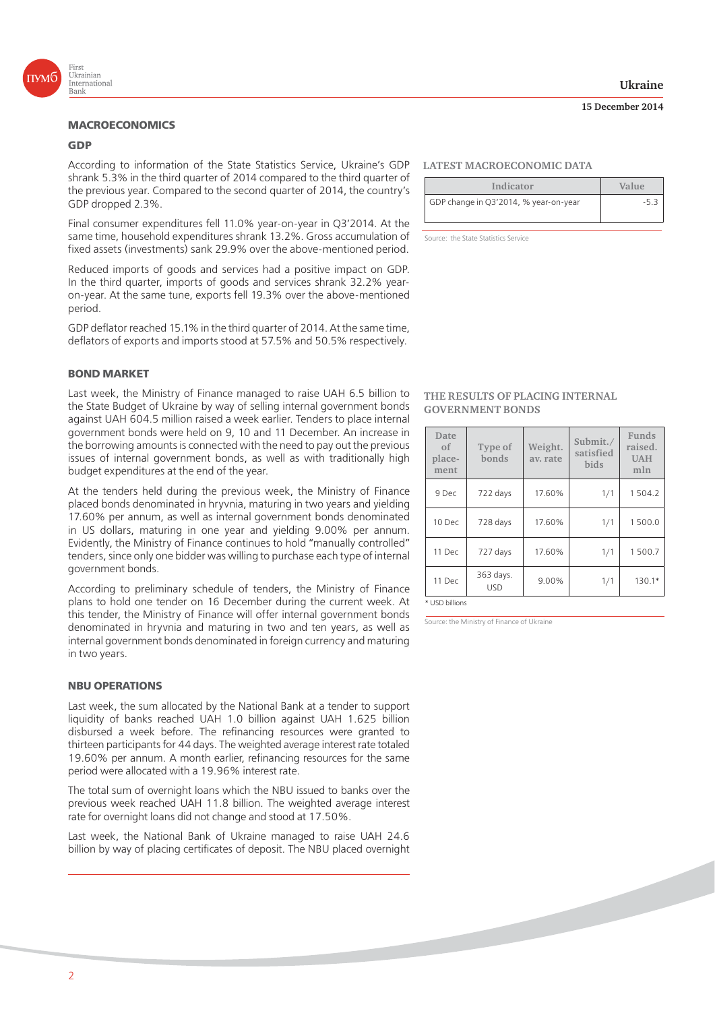

# **MACROECONOMICS**

#### **GDP**

According to information of the State Statistics Service, Ukraine's GDP shrank 5.3% in the third quarter of 2014 compared to the third quarter of the previous year. Compared to the second quarter of 2014, the country's GDP dropped 2.3%.

Final consumer expenditures fell 11.0% year-on-year in Q3'2014. At the same time, household expenditures shrank 13.2%. Gross accumulation of fixed assets (investments) sank 29.9% over the above-mentioned period.

Reduced imports of goods and services had a positive impact on GDP. In the third quarter, imports of goods and services shrank 32.2% yearon-year. At the same tune, exports fell 19.3% over the above-mentioned period.

GDP deflator reached 15.1% in the third quarter of 2014. At the same time, deflators of exports and imports stood at 57.5% and 50.5% respectively.

# **BOND MARKET**

Last week, the Ministry of Finance managed to raise UAH 6.5 billion to the State Budget of Ukraine by way of selling internal government bonds against UAH 604.5 million raised a week earlier. Tenders to place internal government bonds were held on 9, 10 and 11 December. An increase in the borrowing amounts is connected with the need to pay out the previous issues of internal government bonds, as well as with traditionally high budget expenditures at the end of the year.

At the tenders held during the previous week, the Ministry of Finance placed bonds denominated in hryvnia, maturing in two years and yielding 17.60% per annum, as well as internal government bonds denominated in US dollars, maturing in one year and yielding 9.00% per annum. Evidently, the Ministry of Finance continues to hold "manually controlled" tenders, since only one bidder was willing to purchase each type of internal government bonds.

According to preliminary schedule of tenders, the Ministry of Finance plans to hold one tender on 16 December during the current week. At this tender, the Ministry of Finance will offer internal government bonds denominated in hryvnia and maturing in two and ten years, as well as internal government bonds denominated in foreign currency and maturing in two years.

#### **NBU OPERATIONS**

Last week, the sum allocated by the National Bank at a tender to support liquidity of banks reached UAH 1.0 billion against UAH 1.625 billion disbursed a week before. The refinancing resources were granted to thirteen participants for 44 days. The weighted average interest rate totaled 19.60% per annum. A month earlier, refinancing resources for the same period were allocated with a 19.96% interest rate.

The total sum of overnight loans which the NBU issued to banks over the previous week reached UAH 11.8 billion. The weighted average interest rate for overnight loans did not change and stood at 17.50%.

Last week, the National Bank of Ukraine managed to raise UAH 24.6 billion by way of placing certificates of deposit. The NBU placed overnight

## **Ukraine**

#### **15 December 2014**

#### **LATEST MACROECONOMIC DATA**

| Indicator                             | Value |  |
|---------------------------------------|-------|--|
| GDP change in Q3'2014, % year-on-year | -5.3  |  |
|                                       |       |  |

Source: the State Statistics Service

#### **THE RESULTS OF PLACING INTERNAL GOVERNMENT BONDS**

| Date<br>of<br>place-<br>ment | Type of<br>bonds        | Weight.<br>av. rate | Submit./<br>satisfied<br><b>bids</b> | Funds<br>raised.<br><b>UAH</b><br>mln |
|------------------------------|-------------------------|---------------------|--------------------------------------|---------------------------------------|
| 9 Dec                        | 722 days                | 17.60%              | 1/1                                  | 1504.2                                |
| 10 Dec                       | 728 days                | 17.60%              | 1/1                                  | 1500.0                                |
| 11 Dec                       | 727 days                | 17.60%              | 1/1                                  | 1500.7                                |
| 11 Dec                       | 363 days.<br><b>USD</b> | 9.00%               | 1/1                                  | 130.1*                                |

\* USD billions

Source: the Ministry of Finance of Ukraine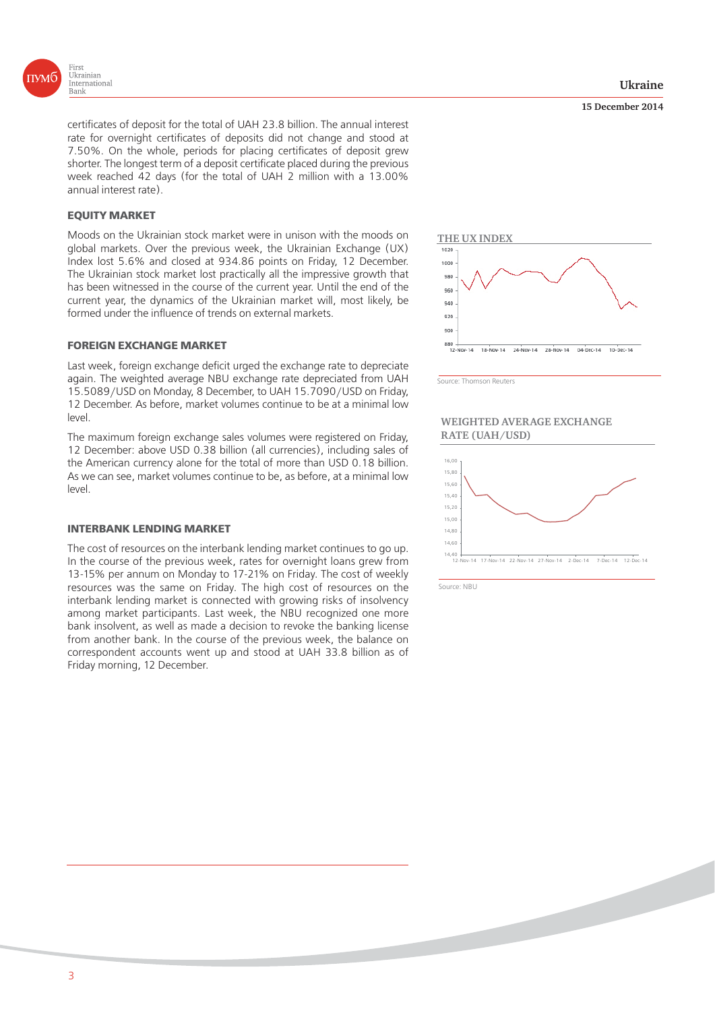

certificates of deposit for the total of UAH 23.8 billion. The annual interest rate for overnight certificates of deposits did not change and stood at 7.50%. On the whole, periods for placing certificates of deposit grew shorter. The longest term of a deposit certificate placed during the previous week reached 42 days (for the total of UAH 2 million with a 13.00% annual interest rate).

# **EQUITY MARKET**

Moods on the Ukrainian stock market were in unison with the moods on global markets. Over the previous week, the Ukrainian Exchange (UX) Index lost 5.6% and closed at 934.86 points on Friday, 12 December. The Ukrainian stock market lost practically all the impressive growth that has been witnessed in the course of the current year. Until the end of the current year, the dynamics of the Ukrainian market will, most likely, be formed under the influence of trends on external markets.

#### **FOREIGN EXCHANGE MARKET**

Last week, foreign exchange deficit urged the exchange rate to depreciate again. The weighted average NBU exchange rate depreciated from UAH 15.5089/USD on Monday, 8 December, to UAH 15.7090/USD on Friday, 12 December. As before, market volumes continue to be at a minimal low level.

The maximum foreign exchange sales volumes were registered on Friday, 12 December: above USD 0.38 billion (all currencies), including sales of the American currency alone for the total of more than USD 0.18 billion. As we can see, market volumes continue to be, as before, at a minimal low level.

# **INTERBANK LENDING MARKET**

The cost of resources on the interbank lending market continues to go up. In the course of the previous week, rates for overnight loans grew from 13-15% per annum on Monday to 17-21% on Friday. The cost of weekly resources was the same on Friday. The high cost of resources on the interbank lending market is connected with growing risks of insolvency among market participants. Last week, the NBU recognized one more bank insolvent, as well as made a decision to revoke the banking license from another bank. In the course of the previous week, the balance on correspondent accounts went up and stood at UAH 33.8 billion as of Friday morning, 12 December.

#### **15 December 2014**



Source: Thomson Reuters

#### **WEIGHTED AVERAGE EXCHANGE RATE (UAH/USD)**



Source: NBU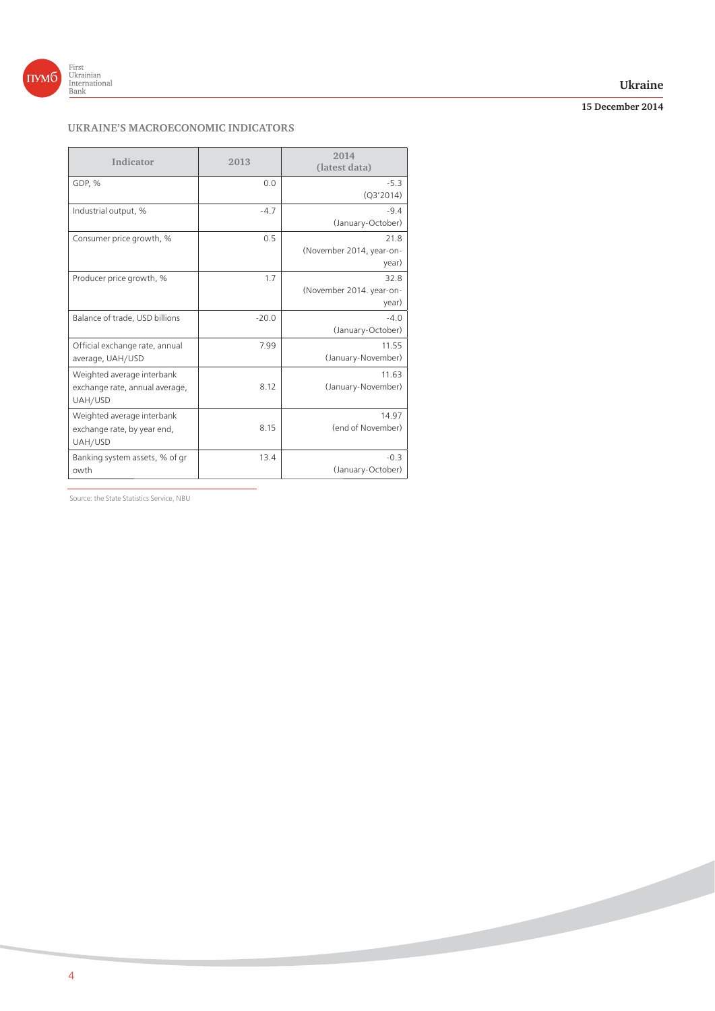

# **Ukraine**

# **15 December 2014**

**Contract Contract Contract Contract Contract Contract Contract Contract Contract Contract Contract Contract Contract Contract Contract Contract Contract Contract Contract Contract Contract Contract Contract Contract Contr** 

# **UKRAINE'S MACROECONOMIC INDICATORS**

| Indicator                                                               | 2013    | 2014<br>(latest data)                     |
|-------------------------------------------------------------------------|---------|-------------------------------------------|
| GDP, %                                                                  | 0.0     | $-5.3$<br>(Q3'2014)                       |
| Industrial output, %                                                    | $-4.7$  | $-9.4$<br>(January-October)               |
| Consumer price growth, %                                                | 0.5     | 21.8<br>(November 2014, year-on-<br>year) |
| Producer price growth, %                                                | 1.7     | 32.8<br>(November 2014. year-on-<br>year) |
| Balance of trade, USD billions                                          | $-20.0$ | $-4.0$<br>(January-October)               |
| Official exchange rate, annual<br>average, UAH/USD                      | 7.99    | 11.55<br>(January-November)               |
| Weighted average interbank<br>exchange rate, annual average,<br>UAH/USD | 8.12    | 11.63<br>(January-November)               |
| Weighted average interbank<br>exchange rate, by year end,<br>UAH/USD    | 8.15    | 14.97<br>(end of November)                |
| Banking system assets, % of gr<br>owth                                  | 13.4    | $-0.3$<br>(January-October)               |

Source: the State Statistics Service, NBU